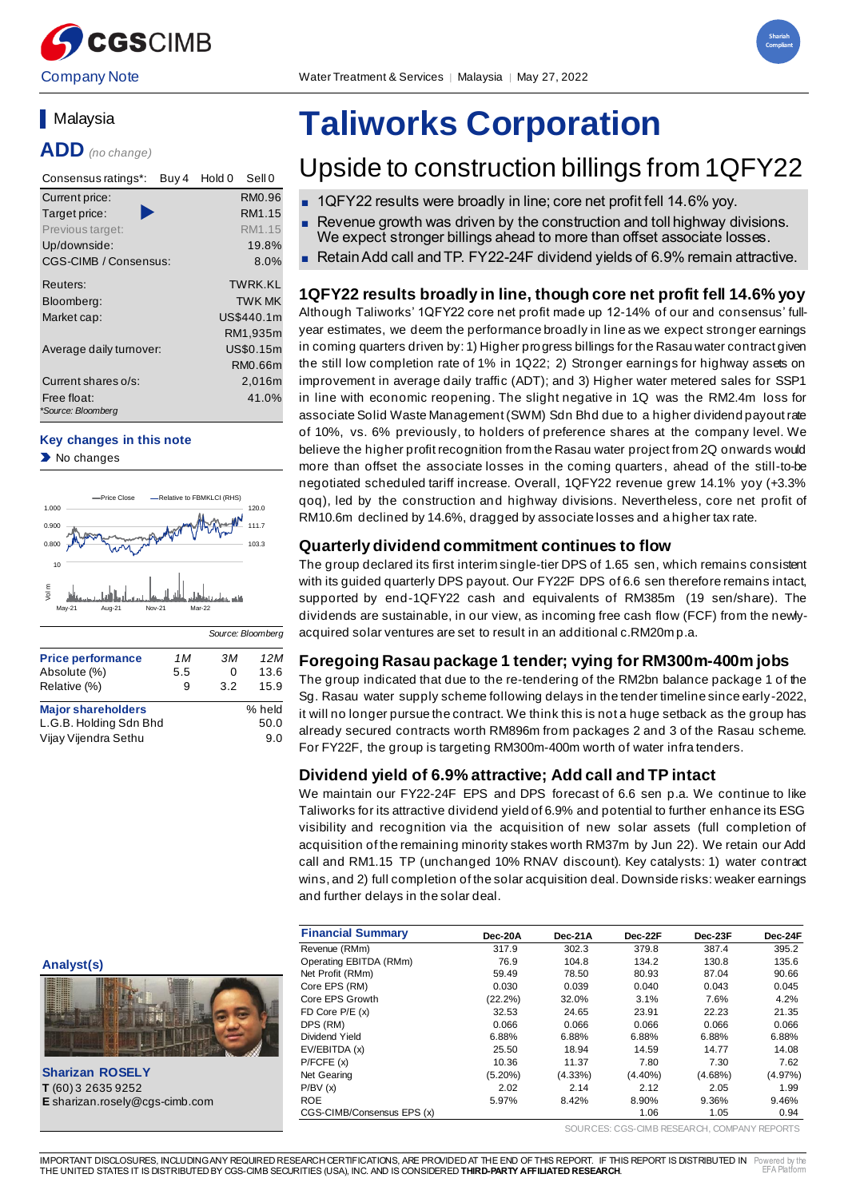

Company Note Water Treatment & Services │ Malaysia │ May 27, 2022



# **Malavsia**

**ADD** *(no change)*

| Consensus ratings*:<br>Buy 4      | Sell 0<br>Hold 0 |
|-----------------------------------|------------------|
| Current price:                    | RM0.96           |
| Target price:                     | RM1.15           |
| Previous target:                  | RM1.15           |
| Up/downside:                      | 19.8%            |
| <b>CGS-CIMB / Consensus:</b>      | $8.0\%$          |
| Reuters:                          | TWRK KI          |
| Bloomberg:                        | <b>TWK MK</b>    |
| Market cap:                       | US\$440.1m       |
|                                   | RM1,935m         |
| Average daily turnover:           | US\$0.15m        |
|                                   | RM0.66m          |
| Current shares o/s:               | 2,016m           |
| Free float:<br>*Source: Bloomberg | 41.0%            |

#### **Key changes in this note**

No changes



|                           |     | Source: Bloomberg |        |
|---------------------------|-----|-------------------|--------|
| <b>Price performance</b>  | 1 M | зм                | 12M    |
| Absolute (%)              | 5.5 | 0                 | 13.6   |
| Relative (%)              | 9   | 3.2               | 15.9   |
| <b>Major shareholders</b> |     |                   | % held |
| L.G.B. Holding Sdn Bhd    |     |                   | 50.0   |
| Vijay Vijendra Sethu      |     |                   | 9.0    |

# **Taliworks Corporation**

# Upside to construction billings from 1QFY22

- 1QFY22 results were broadly in line; core net profit fell 14.6% vov.
- Revenue growth was driven by the construction and toll highway divisions. We expect stronger billings ahead to more than offset associate losses.
- Retain Add call and TP. FY22-24F dividend yields of 6.9% remain attractive.

# **1QFY22 results broadly in line, though core net profit fell 14.6% yoy**

Although Taliworks' 1QFY22 core net profit made up 12-14% of our and consensus' fullyear estimates, we deem the performance broadly in line as we expect stronger earnings in coming quarters driven by: 1) Higher progress billings for the Rasau water contract given the still low completion rate of 1% in 1Q22; 2) Stronger earnings for highway assets on improvement in average daily traffic (ADT); and 3) Higher water metered sales for SSP1 in line with economic reopening. The slight negative in 1Q was the RM2.4m loss for associate Solid Waste Management (SWM) Sdn Bhd due to a higher dividend payout rate of 10%, vs. 6% previously, to holders of preference shares at the company level. We believe the higher profit recognition from the Rasau water project from 2Q onwards would more than offset the associate losses in the coming quarters , ahead of the still-to-be negotiated scheduled tariff increase. Overall, 1QFY22 revenue grew 14.1% yoy (+3.3% qoq), led by the construction and highway divisions. Nevertheless, core net profit of RM10.6m declined by 14.6%, dragged by associate losses and a higher tax rate.

# **Quarterly dividend commitment continues to flow**

The group declared its first interim single-tier DPS of 1.65 sen, which remains consistent with its guided quarterly DPS payout. Our FY22F DPS of 6.6 sen therefore remains intact, supported by end-1QFY22 cash and equivalents of RM385m (19 sen/share). The dividends are sustainable, in our view, as incoming free cash flow (FCF) from the newlyacquired solar ventures are set to result in an additional c.RM20m p.a.

# **Foregoing Rasau package 1 tender; vying for RM300m-400m jobs**

The group indicated that due to the re-tendering of the RM2bn balance package 1 of the Sg. Rasau water supply scheme following delays in the tender timeline since early-2022, it will no longer pursue the contract. We think this is not a huge setback as the group has already secured contracts worth RM896m from packages 2 and 3 of the Rasau scheme. For FY22F, the group is targeting RM300m-400m worth of water infra tenders.

# **Dividend yield of 6.9% attractive; Add call and TP intact**

We maintain our FY22-24F EPS and DPS forecast of 6.6 sen p.a. We continue to like Taliworks for its attractive dividend yield of 6.9% and potential to further enhance its ESG visibility and recognition via the acquisition of new solar assets (full completion of acquisition of the remaining minority stakes worth RM37m by Jun 22). We retain our Add call and RM1.15 TP (unchanged 10% RNAV discount). Key catalysts: 1) water contract wins, and 2) full completion of the solar acquisition deal. Downside risks: weaker earnings and further delays in the solar deal.

|                                       | <b>Financial Summary</b>   | Dec-20A    | Dec-21A    | Dec-22F    | Dec-23F    | Dec-24F |
|---------------------------------------|----------------------------|------------|------------|------------|------------|---------|
|                                       | Revenue (RMm)              | 317.9      | 302.3      | 379.8      | 387.4      | 395.2   |
| Analyst(s)                            | Operating EBITDA (RMm)     | 76.9       | 104.8      | 134.2      | 130.8      | 135.6   |
|                                       | Net Profit (RMm)           | 59.49      | 78.50      | 80.93      | 87.04      | 90.66   |
| E                                     | Core EPS (RM)              | 0.030      | 0.039      | 0.040      | 0.043      | 0.045   |
|                                       | Core EPS Growth            | $(22.2\%)$ | 32.0%      | 3.1%       | 7.6%       | 4.2%    |
|                                       | FD Core $P/E(x)$           | 32.53      | 24.65      | 23.91      | 22.23      | 21.35   |
|                                       | DPS (RM)                   | 0.066      | 0.066      | 0.066      | 0.066      | 0.066   |
|                                       | Dividend Yield             | 6.88%      | 6.88%      | 6.88%      | 6.88%      | 6.88%   |
|                                       | EV/EBITDA (x)              | 25.50      | 18.94      | 14.59      | 14.77      | 14.08   |
|                                       | P/FCFE(x)                  | 10.36      | 11.37      | 7.80       | 7.30       | 7.62    |
| <b>Sharizan ROSELY</b>                | Net Gearing                | $(5.20\%)$ | $(4.33\%)$ | $(4.40\%)$ | $(4.68\%)$ | (4.97%) |
| T (60) 3 2635 9252                    | P/BV(x)                    | 2.02       | 2.14       | 2.12       | 2.05       | 1.99    |
| <b>E</b> sharizan.rosely@cgs-cimb.com | <b>ROE</b>                 | 5.97%      | 8.42%      | 8.90%      | 9.36%      | 9.46%   |
|                                       | CGS-CIMB/Consensus EPS (x) |            |            | 1.06       | 1.05       | 0.94    |

SOURCES: CGS-CIMB RESEARCH, COMPANY REPORTS



IMPORTANT DISCLOSURES, INCLUDING ANY REQUIRED RESEARCH CERTIFICATIONS, ARE PROVIDED AT THE END OF THIS REPORT. IF THIS REPORT IS DISTRIBUTED IN THE UNITED STATES IT IS DISTRIBUTED BY CGS-CIMB SECURITIES (USA), INC. AND IS CONSIDERED **THIRD-PARTY AFFILIATED RESEARCH**. Powered by the EFA Platform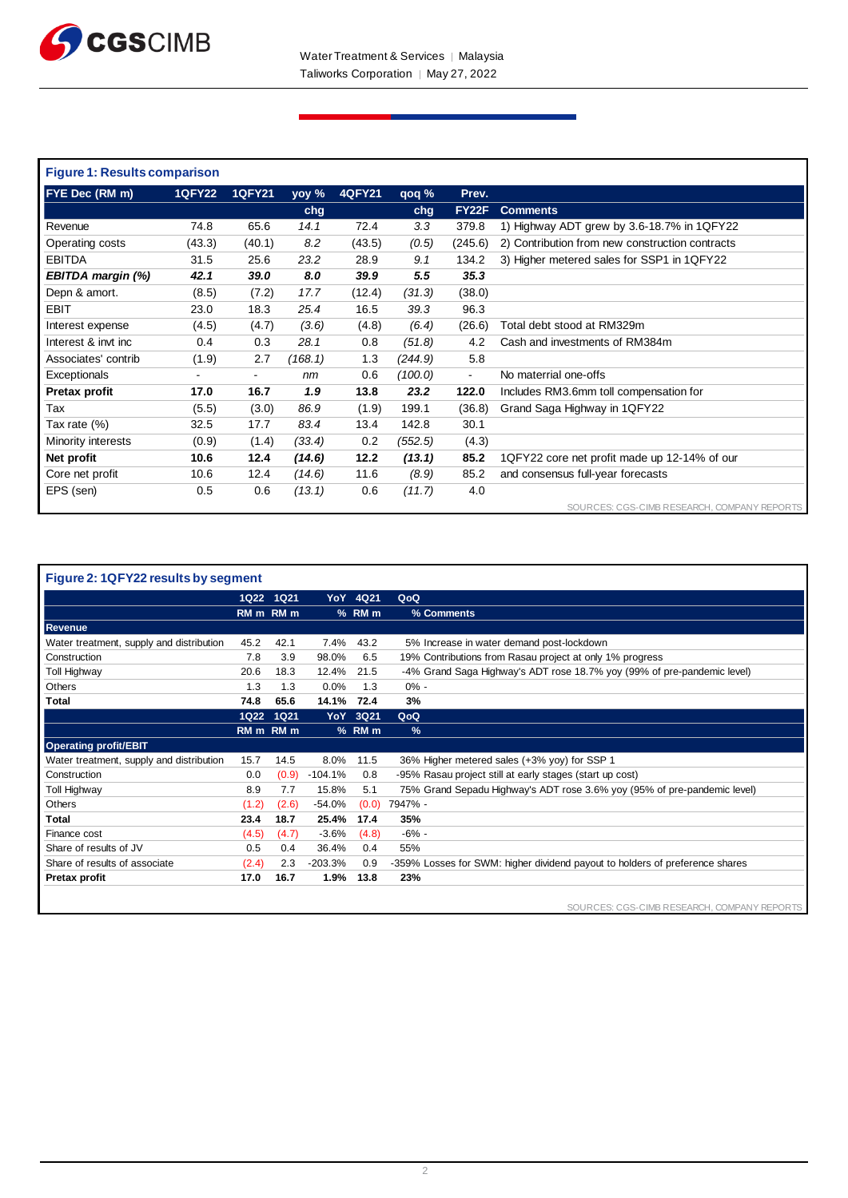

| <b>Figure 1: Results comparison</b> |               |               |         |               |          |         |                                                 |
|-------------------------------------|---------------|---------------|---------|---------------|----------|---------|-------------------------------------------------|
| <b>FYE Dec (RM m)</b>               | <b>1QFY22</b> | <b>1QFY21</b> | yoy %   | <b>4QFY21</b> | $q$ oq % | Prev.   |                                                 |
|                                     |               |               | chg     |               | chg      | FY22F   | <b>Comments</b>                                 |
| Revenue                             | 74.8          | 65.6          | 14.1    | 72.4          | 3.3      | 379.8   | 1) Highway ADT grew by 3.6-18.7% in 1QFY22      |
| Operating costs                     | (43.3)        | (40.1)        | 8.2     | (43.5)        | (0.5)    | (245.6) | 2) Contribution from new construction contracts |
| <b>EBITDA</b>                       | 31.5          | 25.6          | 23.2    | 28.9          | 9.1      | 134.2   | 3) Higher metered sales for SSP1 in 1QFY22      |
| EBITDA margin (%)                   | 42.1          | 39.0          | 8.0     | 39.9          | 5.5      | 35.3    |                                                 |
| Depn & amort.                       | (8.5)         | (7.2)         | 17.7    | (12.4)        | (31.3)   | (38.0)  |                                                 |
| <b>EBIT</b>                         | 23.0          | 18.3          | 25.4    | 16.5          | 39.3     | 96.3    |                                                 |
| Interest expense                    | (4.5)         | (4.7)         | (3.6)   | (4.8)         | (6.4)    | (26.6)  | Total debt stood at RM329m                      |
| Interest & invt inc                 | 0.4           | 0.3           | 28.1    | 0.8           | (51.8)   | 4.2     | Cash and investments of RM384m                  |
| Associates' contrib                 | (1.9)         | 2.7           | (168.1) | 1.3           | (244.9)  | 5.8     |                                                 |
| Exceptionals                        | ۰             | $\sim$        | nm      | 0.6           | (100.0)  | $\sim$  | No materrial one-offs                           |
| Pretax profit                       | 17.0          | 16.7          | 1.9     | 13.8          | 23.2     | 122.0   | Includes RM3.6mm toll compensation for          |
| Tax                                 | (5.5)         | (3.0)         | 86.9    | (1.9)         | 199.1    | (36.8)  | Grand Saga Highway in 1QFY22                    |
| Tax rate (%)                        | 32.5          | 17.7          | 83.4    | 13.4          | 142.8    | 30.1    |                                                 |
| Minority interests                  | (0.9)         | (1.4)         | (33.4)  | 0.2           | (552.5)  | (4.3)   |                                                 |
| Net profit                          | 10.6          | 12.4          | (14.6)  | 12.2          | (13.1)   | 85.2    | 1QFY22 core net profit made up 12-14% of our    |
| Core net profit                     | 10.6          | 12.4          | (14.6)  | 11.6          | (8.9)    | 85.2    | and consensus full-year forecasts               |
| EPS (sen)                           | 0.5           | 0.6           | (13.1)  | 0.6           | (11.7)   | 4.0     |                                                 |
|                                     |               |               |         |               |          |         | SOURCES: CGS-CIMB RESEARCH, COMPANY REPORTS     |

| Figure 2: 1QFY22 results by segment      |             |             |            |          |                                                                              |  |
|------------------------------------------|-------------|-------------|------------|----------|------------------------------------------------------------------------------|--|
|                                          | <b>1Q22</b> | <b>1Q21</b> |            | YoY 4Q21 | QoQ                                                                          |  |
|                                          |             | RM m RM m   |            | % RM m   | % Comments                                                                   |  |
| Revenue                                  |             |             |            |          |                                                                              |  |
| Water treatment, supply and distribution | 45.2        | 42.1        | 7.4%       | 43.2     | 5% Increase in water demand post-lockdown                                    |  |
| Construction                             | 7.8         | 3.9         | 98.0%      | 6.5      | 19% Contributions from Rasau project at only 1% progress                     |  |
| <b>Toll Highway</b>                      | 20.6        | 18.3        | 12.4%      | 21.5     | -4% Grand Saga Highway's ADT rose 18.7% yoy (99% of pre-pandemic level)      |  |
| <b>Others</b>                            | 1.3         | 1.3         | 0.0%       | 1.3      | $0\%$ -                                                                      |  |
| Total                                    | 74.8        | 65.6        | 14.1%      | 72.4     | 3%                                                                           |  |
|                                          | <b>1Q22</b> | 1Q21        | <b>YoY</b> | 3Q21     | QoQ                                                                          |  |
|                                          |             | RM m RM m   |            | % RM m   | $\frac{9}{6}$                                                                |  |
| <b>Operating profit/EBIT</b>             |             |             |            |          |                                                                              |  |
| Water treatment, supply and distribution | 15.7        | 14.5        | 8.0%       | 11.5     | 36% Higher metered sales (+3% yoy) for SSP 1                                 |  |
| Construction                             | 0.0         | (0.9)       | $-104.1%$  | 0.8      | -95% Rasau project still at early stages (start up cost)                     |  |
| <b>Toll Highway</b>                      | 8.9         | 7.7         | 15.8%      | 5.1      | 75% Grand Sepadu Highway's ADT rose 3.6% yoy (95% of pre-pandemic level)     |  |
| <b>Others</b>                            | (1.2)       | (2.6)       | $-54.0%$   | (0.0)    | 7947% -                                                                      |  |
| Total                                    | 23.4        | 18.7        | 25.4%      | 17.4     | 35%                                                                          |  |
| Finance cost                             | (4.5)       | (4.7)       | $-3.6%$    | (4.8)    | $-6%$ -                                                                      |  |
| Share of results of JV                   | 0.5         | 0.4         | 36.4%      | 0.4      | 55%                                                                          |  |
| Share of results of associate            | (2.4)       | 2.3         | $-203.3%$  | 0.9      | -359% Losses for SWM: higher dividend payout to holders of preference shares |  |
| Pretax profit                            | 17.0        | 16.7        | 1.9%       | 13.8     | 23%                                                                          |  |
|                                          |             |             |            |          |                                                                              |  |
|                                          |             |             |            |          | SOURCES: CGS-CIMB RESEARCH, COMPANY REPORTS                                  |  |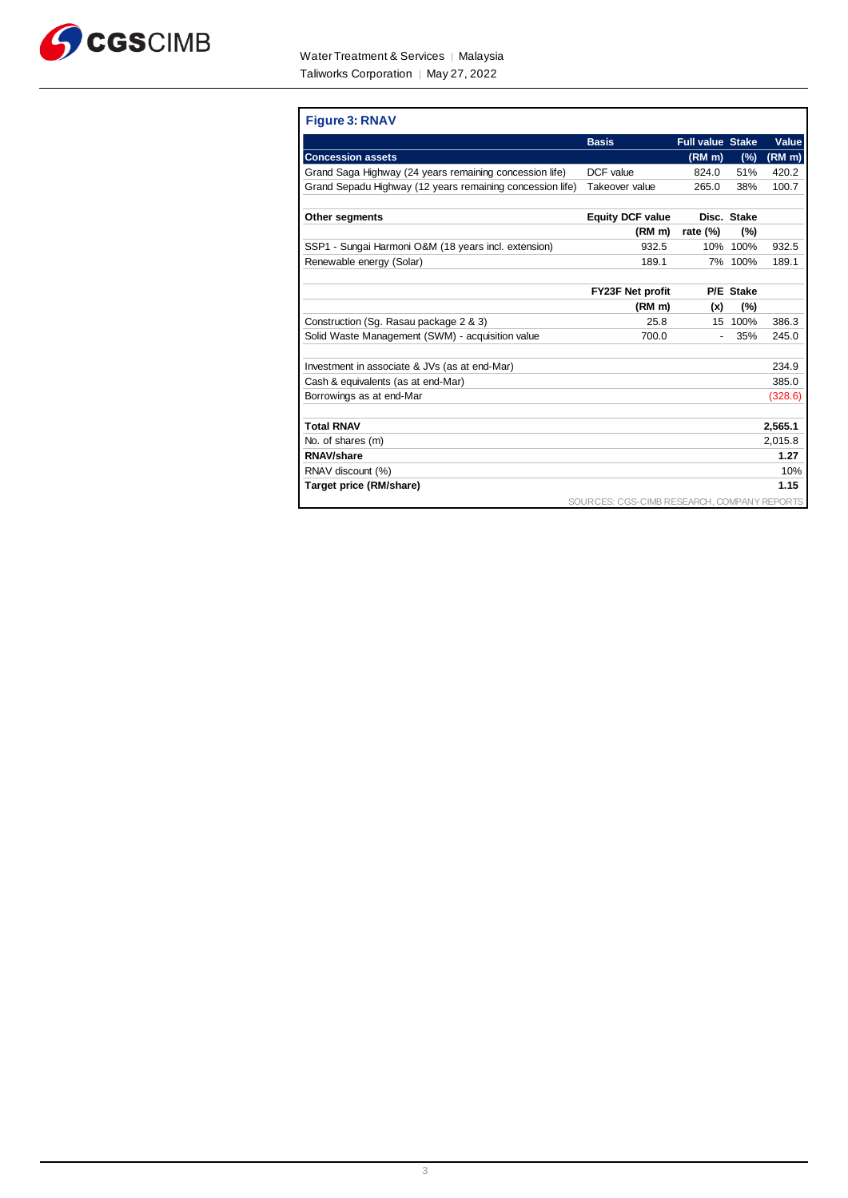

| <b>Figure 3: RNAV</b>                                     |                                             |                         |             |                    |
|-----------------------------------------------------------|---------------------------------------------|-------------------------|-------------|--------------------|
|                                                           | <b>Basis</b>                                | <b>Full value Stake</b> |             | Value              |
| <b>Concession assets</b>                                  |                                             | (RM <sub>m</sub> )      | (%)         | (RM <sub>m</sub> ) |
| Grand Saga Highway (24 years remaining concession life)   | DCF value                                   | 824.0                   | 51%         | 420.2              |
| Grand Sepadu Highway (12 years remaining concession life) | Takeover value                              | 265.0                   | 38%         | 100.7              |
| <b>Other segments</b>                                     | <b>Equity DCF value</b>                     |                         | Disc. Stake |                    |
|                                                           | (RM m)                                      | rate $(\%)$             | (%)         |                    |
| SSP1 - Sungai Harmoni O&M (18 years incl. extension)      | 932.5                                       |                         | 10% 100%    | 932.5              |
| Renewable energy (Solar)                                  | 189.1                                       |                         | 7% 100%     | 189.1              |
|                                                           |                                             |                         |             |                    |
|                                                           | <b>FY23F Net profit</b>                     |                         | P/E Stake   |                    |
|                                                           | (RM m)                                      | (x)                     | (%)         |                    |
| Construction (Sg. Rasau package 2 & 3)                    | 25.8                                        |                         | 15 100%     | 386.3              |
| Solid Waste Management (SWM) - acquisition value          | 700.0                                       |                         | 35%         | 245.0              |
| Investment in associate & JVs (as at end-Mar)             |                                             |                         |             | 234.9              |
| Cash & equivalents (as at end-Mar)                        |                                             |                         |             | 385.0              |
| Borrowings as at end-Mar                                  |                                             |                         |             | (328.6)            |
| <b>Total RNAV</b>                                         |                                             |                         |             |                    |
|                                                           |                                             |                         |             | 2,565.1            |
| No. of shares (m)                                         |                                             |                         |             | 2,015.8            |
| <b>RNAV/share</b>                                         |                                             |                         |             | 1.27               |
| RNAV discount (%)                                         |                                             |                         |             | 10%                |
| Target price (RM/share)                                   |                                             |                         |             | 1.15               |
|                                                           | SOURCES: CGS-CIMB RESEARCH, COMPANY REPORTS |                         |             |                    |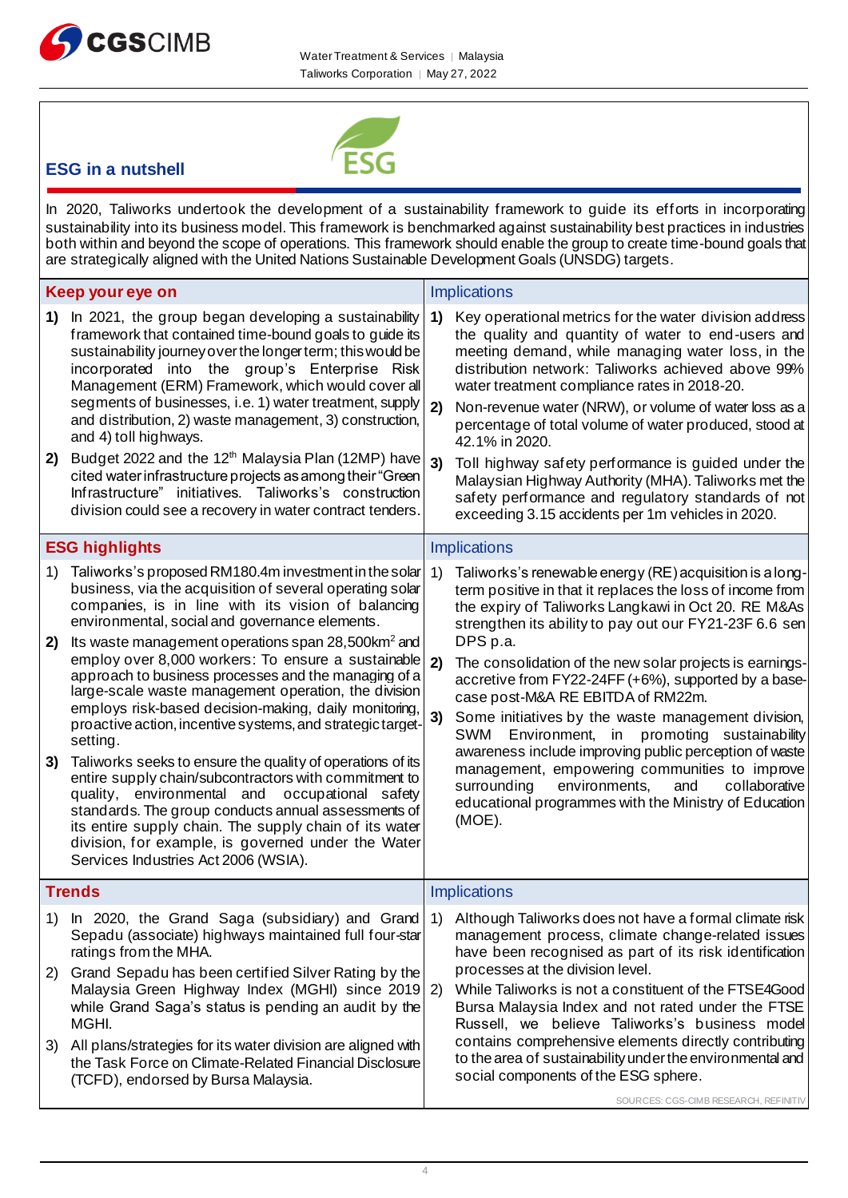



# **ESG in a nutshell**

In 2020, Taliworks undertook the development of a sustainability framework to guide its efforts in incorporating sustainability into its business model. This framework is benchmarked against sustainability best practices in industries both within and beyond the scope of operations. This framework should enable the group to create time-bound goals that are strategically aligned with the United Nations Sustainable Development Goals (UNSDG) targets.

|          | Keep your eye on                                                                                                                                                                                                                                                                                                                                                                                                                                                                                                                                                                                                          |                | <b>Implications</b>                                                                                                                                                                                                                                                                                                                                                                                                                                                                                                                                                               |
|----------|---------------------------------------------------------------------------------------------------------------------------------------------------------------------------------------------------------------------------------------------------------------------------------------------------------------------------------------------------------------------------------------------------------------------------------------------------------------------------------------------------------------------------------------------------------------------------------------------------------------------------|----------------|-----------------------------------------------------------------------------------------------------------------------------------------------------------------------------------------------------------------------------------------------------------------------------------------------------------------------------------------------------------------------------------------------------------------------------------------------------------------------------------------------------------------------------------------------------------------------------------|
| 1)<br>2) | In 2021, the group began developing a sustainability<br>framework that contained time-bound goals to guide its<br>sustainability journey over the longer term; this would be<br>incorporated into the group's Enterprise Risk<br>Management (ERM) Framework, which would cover all<br>segments of businesses, i.e. 1) water treatment, supply<br>and distribution, 2) waste management, 3) construction,<br>and 4) toll highways.<br>Budget 2022 and the 12 <sup>th</sup> Malaysia Plan (12MP) have<br>cited water infrastructure projects as among their "Green<br>Infrastructure" initiatives. Taliworks's construction | 1)<br>2)<br>3) | Key operational metrics for the water division address<br>the quality and quantity of water to end-users and<br>meeting demand, while managing water loss, in the<br>distribution network: Taliworks achieved above 99%<br>water treatment compliance rates in 2018-20.<br>Non-revenue water (NRW), or volume of water loss as a<br>percentage of total volume of water produced, stood at<br>42.1% in 2020.<br>Toll highway safety performance is guided under the<br>Malaysian Highway Authority (MHA). Taliworks met the<br>safety performance and regulatory standards of not |
|          | division could see a recovery in water contract tenders.                                                                                                                                                                                                                                                                                                                                                                                                                                                                                                                                                                  |                | exceeding 3.15 accidents per 1m vehicles in 2020.                                                                                                                                                                                                                                                                                                                                                                                                                                                                                                                                 |
|          | <b>ESG highlights</b>                                                                                                                                                                                                                                                                                                                                                                                                                                                                                                                                                                                                     |                | <b>Implications</b>                                                                                                                                                                                                                                                                                                                                                                                                                                                                                                                                                               |
| 1)<br>2) | Taliworks's proposed RM180.4m investment in the solar<br>business, via the acquisition of several operating solar<br>companies, is in line with its vision of balancing<br>environmental, social and governance elements.<br>Its waste management operations span 28,500km <sup>2</sup> and                                                                                                                                                                                                                                                                                                                               | 1)             | Taliworks's renewable energy (RE) acquisition is a long-<br>term positive in that it replaces the loss of income from<br>the expiry of Taliworks Langkawi in Oct 20. RE M&As<br>strengthen its ability to pay out our FY21-23F 6.6 sen<br>DPS p.a.                                                                                                                                                                                                                                                                                                                                |
|          | employ over 8,000 workers: To ensure a sustainable<br>approach to business processes and the managing of a<br>large-scale waste management operation, the division<br>employs risk-based decision-making, daily monitoring,<br>proactive action, incentive systems, and strategic target-                                                                                                                                                                                                                                                                                                                                 | 2)<br>3)       | The consolidation of the new solar projects is earnings-<br>accretive from FY22-24FF (+6%), supported by a base-<br>case post-M&A RE EBITDA of RM22m.<br>Some initiatives by the waste management division,                                                                                                                                                                                                                                                                                                                                                                       |
| 3)       | setting.<br>Taliworks seeks to ensure the quality of operations of its<br>entire supply chain/subcontractors with commitment to<br>quality, environmental and occupational safety<br>standards. The group conducts annual assessments of<br>its entire supply chain. The supply chain of its water<br>division, for example, is governed under the Water<br>Services Industries Act 2006 (WSIA).                                                                                                                                                                                                                          |                | SWM<br>Environment, in promoting sustainability<br>awareness include improving public perception of waste<br>management, empowering communities to improve<br>surrounding<br>environments,<br>and<br>collaborative<br>educational programmes with the Ministry of Education<br>$(MOE)$ .                                                                                                                                                                                                                                                                                          |
|          | <b>Trends</b>                                                                                                                                                                                                                                                                                                                                                                                                                                                                                                                                                                                                             |                | <b>Implications</b>                                                                                                                                                                                                                                                                                                                                                                                                                                                                                                                                                               |
|          | Sepadu (associate) highways maintained full four-star<br>ratings from the MHA.                                                                                                                                                                                                                                                                                                                                                                                                                                                                                                                                            |                | 1) In 2020, the Grand Saga (subsidiary) and Grand 1) Although Taliworks does not have a formal climate risk<br>management process, climate change-related issues<br>have been recognised as part of its risk identification                                                                                                                                                                                                                                                                                                                                                       |
| 2)       | Grand Sepadu has been certified Silver Rating by the<br>Malaysia Green Highway Index (MGHI) since 2019 2)<br>while Grand Saga's status is pending an audit by the<br>MGHI.                                                                                                                                                                                                                                                                                                                                                                                                                                                |                | processes at the division level.<br>While Taliworks is not a constituent of the FTSE4Good<br>Bursa Malaysia Index and not rated under the FTSE<br>Russell, we believe Taliworks's business model                                                                                                                                                                                                                                                                                                                                                                                  |
| 3)       | All plans/strategies for its water division are aligned with<br>the Task Force on Climate-Related Financial Disclosure<br>(TCFD), endorsed by Bursa Malaysia.                                                                                                                                                                                                                                                                                                                                                                                                                                                             |                | contains comprehensive elements directly contributing<br>to the area of sustainability under the environmental and<br>social components of the ESG sphere.                                                                                                                                                                                                                                                                                                                                                                                                                        |
|          |                                                                                                                                                                                                                                                                                                                                                                                                                                                                                                                                                                                                                           |                | SOURCES: CGS-CIMB RESEARCH, REFINITIV                                                                                                                                                                                                                                                                                                                                                                                                                                                                                                                                             |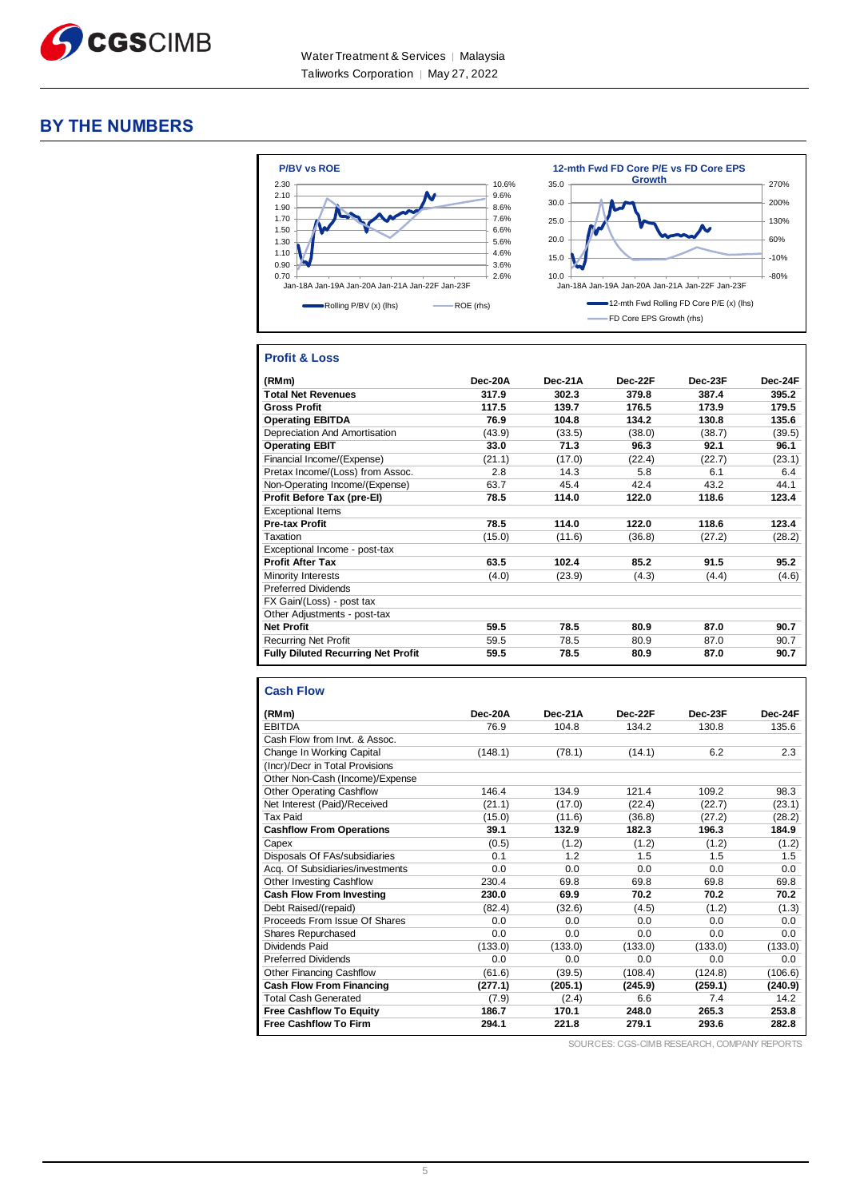

# **BY THE NUMBERS**



#### **Profit & Loss**

| (RMm)                                     | $Dec-20A$ | $Dec-21A$ | Dec-22F | Dec-23F | Dec-24F |
|-------------------------------------------|-----------|-----------|---------|---------|---------|
| <b>Total Net Revenues</b>                 | 317.9     | 302.3     | 379.8   | 387.4   | 395.2   |
| <b>Gross Profit</b>                       | 117.5     | 139.7     | 176.5   | 173.9   | 179.5   |
| <b>Operating EBITDA</b>                   | 76.9      | 104.8     | 134.2   | 130.8   | 135.6   |
| Depreciation And Amortisation             | (43.9)    | (33.5)    | (38.0)  | (38.7)  | (39.5)  |
| <b>Operating EBIT</b>                     | 33.0      | 71.3      | 96.3    | 92.1    | 96.1    |
| Financial Income/(Expense)                | (21.1)    | (17.0)    | (22.4)  | (22.7)  | (23.1)  |
| Pretax Income/(Loss) from Assoc.          | 2.8       | 14.3      | 5.8     | 6.1     | 6.4     |
| Non-Operating Income/(Expense)            | 63.7      | 45.4      | 42.4    | 43.2    | 44.1    |
| Profit Before Tax (pre-El)                | 78.5      | 114.0     | 122.0   | 118.6   | 123.4   |
| <b>Exceptional Items</b>                  |           |           |         |         |         |
| <b>Pre-tax Profit</b>                     | 78.5      | 114.0     | 122.0   | 118.6   | 123.4   |
| Taxation                                  | (15.0)    | (11.6)    | (36.8)  | (27.2)  | (28.2)  |
| Exceptional Income - post-tax             |           |           |         |         |         |
| <b>Profit After Tax</b>                   | 63.5      | 102.4     | 85.2    | 91.5    | 95.2    |
| <b>Minority Interests</b>                 | (4.0)     | (23.9)    | (4.3)   | (4.4)   | (4.6)   |
| <b>Preferred Dividends</b>                |           |           |         |         |         |
| FX Gain/(Loss) - post tax                 |           |           |         |         |         |
| Other Adjustments - post-tax              |           |           |         |         |         |
| <b>Net Profit</b>                         | 59.5      | 78.5      | 80.9    | 87.0    | 90.7    |
| <b>Recurring Net Profit</b>               | 59.5      | 78.5      | 80.9    | 87.0    | 90.7    |
| <b>Fully Diluted Recurring Net Profit</b> | 59.5      | 78.5      | 80.9    | 87.0    | 90.7    |

#### **Cash Flow**

| (RMm)                            | Dec-20A | Dec-21A | Dec-22F | Dec-23F | Dec-24F |
|----------------------------------|---------|---------|---------|---------|---------|
| <b>EBITDA</b>                    | 76.9    | 104.8   | 134.2   | 130.8   | 135.6   |
| Cash Flow from Invt. & Assoc.    |         |         |         |         |         |
| Change In Working Capital        | (148.1) | (78.1)  | (14.1)  | 6.2     | 2.3     |
| (Incr)/Decr in Total Provisions  |         |         |         |         |         |
| Other Non-Cash (Income)/Expense  |         |         |         |         |         |
| <b>Other Operating Cashflow</b>  | 146.4   | 134.9   | 121.4   | 109.2   | 98.3    |
| Net Interest (Paid)/Received     | (21.1)  | (17.0)  | (22.4)  | (22.7)  | (23.1)  |
| <b>Tax Paid</b>                  | (15.0)  | (11.6)  | (36.8)  | (27.2)  | (28.2)  |
| <b>Cashflow From Operations</b>  | 39.1    | 132.9   | 182.3   | 196.3   | 184.9   |
| Capex                            | (0.5)   | (1.2)   | (1.2)   | (1.2)   | (1.2)   |
| Disposals Of FAs/subsidiaries    | 0.1     | 1.2     | 1.5     | 1.5     | 1.5     |
| Acq. Of Subsidiaries/investments | 0.0     | 0.0     | 0.0     | 0.0     | 0.0     |
| Other Investing Cashflow         | 230.4   | 69.8    | 69.8    | 69.8    | 69.8    |
| <b>Cash Flow From Investing</b>  | 230.0   | 69.9    | 70.2    | 70.2    | 70.2    |
| Debt Raised/(repaid)             | (82.4)  | (32.6)  | (4.5)   | (1.2)   | (1.3)   |
| Proceeds From Issue Of Shares    | 0.0     | 0.0     | 0.0     | 0.0     | 0.0     |
| Shares Repurchased               | 0.0     | 0.0     | 0.0     | 0.0     | 0.0     |
| Dividends Paid                   | (133.0) | (133.0) | (133.0) | (133.0) | (133.0) |
| <b>Preferred Dividends</b>       | 0.0     | 0.0     | 0.0     | 0.0     | 0.0     |
| Other Financing Cashflow         | (61.6)  | (39.5)  | (108.4) | (124.8) | (106.6) |
| <b>Cash Flow From Financing</b>  | (277.1) | (205.1) | (245.9) | (259.1) | (240.9) |
| <b>Total Cash Generated</b>      | (7.9)   | (2.4)   | 6.6     | 7.4     | 14.2    |
| <b>Free Cashflow To Equity</b>   | 186.7   | 170.1   | 248.0   | 265.3   | 253.8   |
| <b>Free Cashflow To Firm</b>     | 294.1   | 221.8   | 279.1   | 293.6   | 282.8   |

SOURCES: CGS-CIMB RESEARCH, COMPANY REPORTS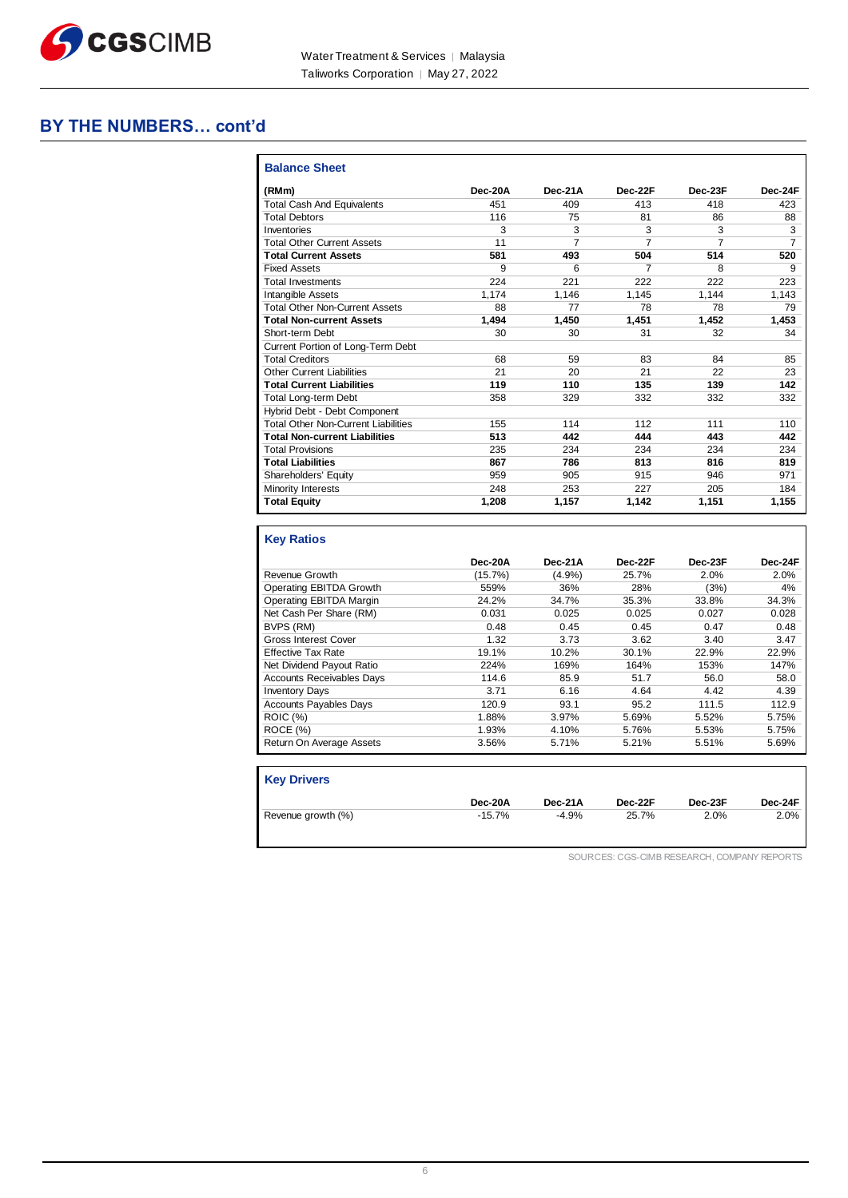

# **BY THE NUMBERS… cont'd**

| (RMm)                                      | Dec-20A | Dec-21A | Dec-22F | Dec-23F | Dec-24F |
|--------------------------------------------|---------|---------|---------|---------|---------|
| <b>Total Cash And Equivalents</b>          | 451     | 409     | 413     | 418     | 423     |
| <b>Total Debtors</b>                       | 116     | 75      | 81      | 86      | 88      |
| Inventories                                | 3       | 3       | 3       | 3       | 3       |
| <b>Total Other Current Assets</b>          | 11      | 7       | 7       | 7       | 7       |
| <b>Total Current Assets</b>                | 581     | 493     | 504     | 514     | 520     |
| <b>Fixed Assets</b>                        | 9       | 6       | 7       | 8       | 9       |
| <b>Total Investments</b>                   | 224     | 221     | 222     | 222     | 223     |
| <b>Intangible Assets</b>                   | 1.174   | 1,146   | 1.145   | 1.144   | 1,143   |
| <b>Total Other Non-Current Assets</b>      | 88      | 77      | 78      | 78      | 79      |
| <b>Total Non-current Assets</b>            | 1.494   | 1.450   | 1.451   | 1,452   | 1,453   |
| Short-term Debt                            | 30      | 30      | 31      | 32      | 34      |
| Current Portion of Long-Term Debt          |         |         |         |         |         |
| <b>Total Creditors</b>                     | 68      | 59      | 83      | 84      | 85      |
| Other Current Liabilities                  | 21      | 20      | 21      | 22      | 23      |
| <b>Total Current Liabilities</b>           | 119     | 110     | 135     | 139     | 142     |
| <b>Total Long-term Debt</b>                | 358     | 329     | 332     | 332     | 332     |
| Hybrid Debt - Debt Component               |         |         |         |         |         |
| <b>Total Other Non-Current Liabilities</b> | 155     | 114     | 112     | 111     | 110     |
| <b>Total Non-current Liabilities</b>       | 513     | 442     | 444     | 443     | 442     |
| <b>Total Provisions</b>                    | 235     | 234     | 234     | 234     | 234     |
| <b>Total Liabilities</b>                   | 867     | 786     | 813     | 816     | 819     |
| Shareholders' Equity                       | 959     | 905     | 915     | 946     | 971     |
| Minority Interests                         | 248     | 253     | 227     | 205     | 184     |
| <b>Total Equity</b>                        | 1,208   | 1,157   | 1,142   | 1,151   | 1,155   |

|                                  | Dec-20A | Dec-21A | Dec-22F | Dec-23F | Dec-24F |
|----------------------------------|---------|---------|---------|---------|---------|
| Revenue Growth                   | (15.7%) | (4.9%)  | 25.7%   | 2.0%    | 2.0%    |
| Operating EBITDA Growth          | 559%    | 36%     | 28%     | (3%)    | 4%      |
| Operating EBITDA Margin          | 24.2%   | 34.7%   | 35.3%   | 33.8%   | 34.3%   |
| Net Cash Per Share (RM)          | 0.031   | 0.025   | 0.025   | 0.027   | 0.028   |
| BVPS (RM)                        | 0.48    | 0.45    | 0.45    | 0.47    | 0.48    |
| <b>Gross Interest Cover</b>      | 1.32    | 3.73    | 3.62    | 3.40    | 3.47    |
| Effective Tax Rate               | 19.1%   | 10.2%   | 30.1%   | 22.9%   | 22.9%   |
| Net Dividend Payout Ratio        | 224%    | 169%    | 164%    | 153%    | 147%    |
| <b>Accounts Receivables Davs</b> | 114.6   | 85.9    | 51.7    | 56.0    | 58.0    |
| <b>Inventory Days</b>            | 3.71    | 6.16    | 4.64    | 4.42    | 4.39    |
| <b>Accounts Payables Days</b>    | 120.9   | 93.1    | 95.2    | 111.5   | 112.9   |
| <b>ROIC (%)</b>                  | 1.88%   | 3.97%   | 5.69%   | 5.52%   | 5.75%   |
| ROCE (%)                         | 1.93%   | 4.10%   | 5.76%   | 5.53%   | 5.75%   |
| Return On Average Assets         | 3.56%   | 5.71%   | 5.21%   | 5.51%   | 5.69%   |

| <b>Key Drivers</b> |          |         |         |         |         |
|--------------------|----------|---------|---------|---------|---------|
|                    | Dec-20A  | Dec-21A | Dec-22F | Dec-23F | Dec-24F |
| Revenue growth (%) | $-15.7%$ | $-4.9%$ | 25.7%   | $2.0\%$ | 2.0%    |

SOURCES: CGS-CIMB RESEARCH, COMPANY REPORTS

H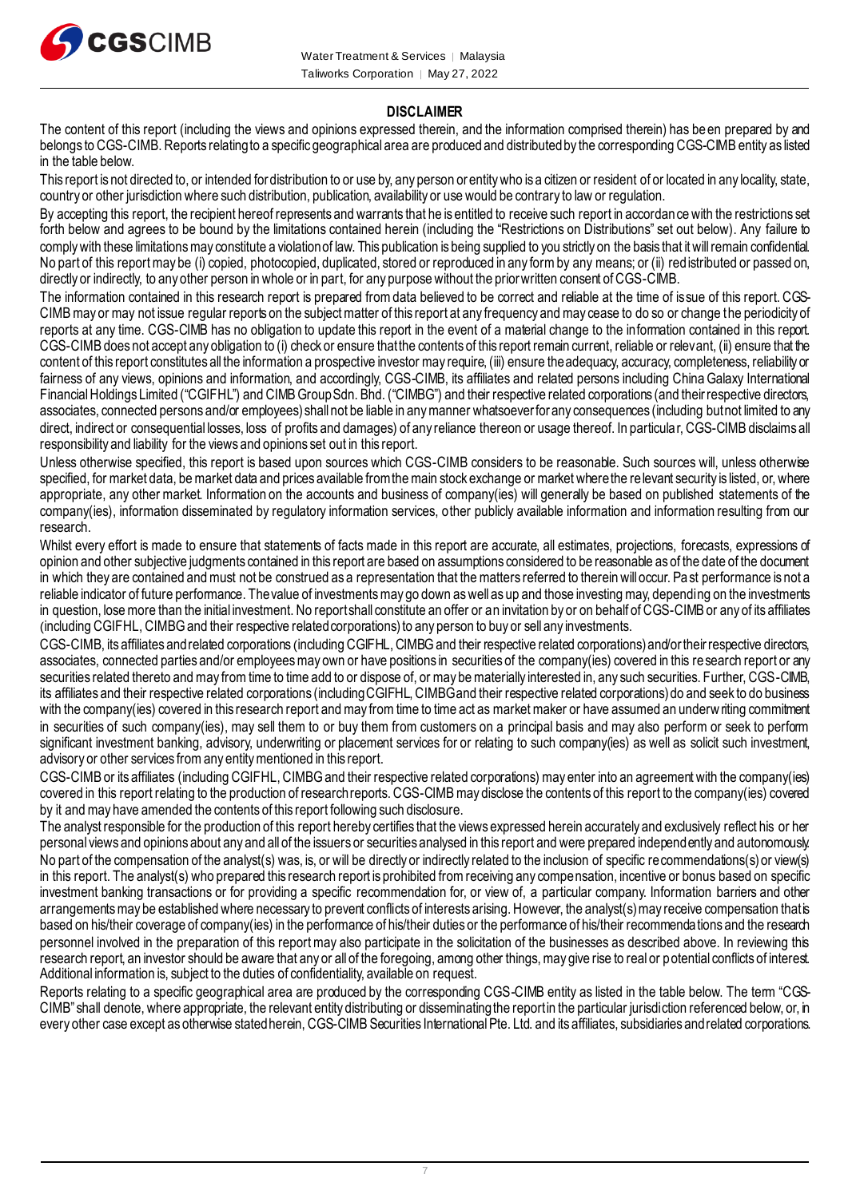

#### **DISCLAIMER**

The content of this report (including the views and opinions expressed therein, and the information comprised therein) has been prepared by and belongs to CGS-CIMB. Reports relating to a specific geographical area are produced and distributed by the corresponding CGS-CIMB entity as listed in the table below.

This report is not directed to, or intended for distribution to or use by, any person or entity who is a citizen or resident of or located in any locality, state, country or other jurisdiction where such distribution, publication, availability or use would be contrary to law or regulation.

By accepting this report, the recipient hereof represents and warrants that he is entitled to receive such report in accordance with the restrictions set forth below and agrees to be bound by the limitations contained herein (including the "Restrictions on Distributions" set out below). Any failure to comply with these limitations may constitute a violation of law. This publication is being supplied to you strictly on the basis that it will remain confidential. No part of this report may be (i) copied, photocopied, duplicated, stored or reproduced in any form by any means; or (ii) redistributed or passed on, directly or indirectly, to any other person in whole or in part, for any purpose without the prior written consent of CGS-CIMB.

The information contained in this research report is prepared from data believed to be correct and reliable at the time of issue of this report. CGS-CIMBmay or may not issue regular reports on the subject matter of this report at any frequency and may cease to do so or change the periodicity of reports at any time. CGS-CIMB has no obligation to update this report in the event of a material change to the information contained in this report. CGS-CIMB does not accept any obligation to (i) check or ensure that the contents of this report remain current, reliable or relevant, (ii) ensure that the content of this report constitutes all the information a prospective investor may require, (iii) ensure the adequacy, accuracy, completeness, reliability or fairness of any views, opinions and information, and accordingly, CGS-CIMB, its affiliates and related persons including China Galaxy International Financial Holdings Limited ("CGIFHL") and CIMB Group Sdn. Bhd. ("CIMBG") and their respective related corporations (and their respective directors, associates, connected persons and/or employees) shall not be liable in any manner whatsoever for any consequences (including but not limited to any direct, indirect or consequential losses, loss of profits and damages) of any reliance thereon or usage thereof. In particular, CGS-CIMB disclaims all responsibility and liability for the views and opinions set out in this report.

Unless otherwise specified, this report is based upon sources which CGS-CIMB considers to be reasonable. Such sources will, unless otherwise specified, for market data, be market data and prices available from the main stock exchange or market where the relevant security is listed, or, where appropriate, any other market. Information on the accounts and business of company(ies) will generally be based on published statements of the company(ies), information disseminated by regulatory information services, other publicly available information and information resulting from our research.

Whilst every effort is made to ensure that statements of facts made in this report are accurate, all estimates, projections, forecasts, expressions of opinion and other subjective judgments contained in this report are based on assumptions considered to be reasonable as of the date of the document in which they are contained and must not be construed as a representation that the matters referred to therein will occur. Past performance is not a reliable indicator of future performance. The value of investments may go down as well as up and those investing may, depending on the investments in question, lose more than the initial investment. No report shall constitute an offer or an invitation by or on behalf of CGS-CIMB or any of its affiliates (including CGIFHL, CIMBG and their respective related corporations) to any person to buy or sell any investments.

CGS-CIMB, its affiliates and related corporations (including CGIFHL, CIMBG and their respective related corporations) and/or their respective directors, associates, connected parties and/or employees may own or have positions in securities of the company(ies) covered in this research report or any securities related thereto and may from time to time add to or dispose of, or may be materially interested in, any such securities. Further, CGS-CIMB, its affiliates and their respective related corporations (including CGIFHL, CIMBG and their respective related corporations) do and seek to do business with the company(ies) covered in this research report and may from time to time act as market maker or have assumed an underwriting commitment in securities of such company(ies), may sell them to or buy them from customers on a principal basis and may also perform or seek to perform significant investment banking, advisory, underwriting or placement services for or relating to such company(ies) as well as solicit such investment, advisory or other services from any entity mentioned in this report.

CGS-CIMB or its affiliates (including CGIFHL, CIMBG and their respective related corporations) may enter into an agreement with the company(ies) covered in this report relating to the production of research reports. CGS-CIMBmay disclose the contents of this report to the company(ies) covered by it and may have amended the contents of this report following such disclosure.

The analyst responsible for the production of this report hereby certifies that the views expressed herein accurately and exclusively reflect his or her personal views and opinions about any and all of the issuers or securities analysed in this report and were prepared independently and autonomously. No part of the compensation of the analyst(s) was, is, or will be directly or indirectly related to the inclusion of specific recommendations(s) or view(s) in this report. The analyst(s) who prepared this research report is prohibited from receiving any compensation, incentive or bonus based on specific investment banking transactions or for providing a specific recommendation for, or view of, a particular company. Information barriers and other arrangements may be established where necessary to prevent conflicts of interests arising. However, the analyst(s) may receive compensation that is based on his/their coverage of company(ies) in the performance of his/their duties or the performance of his/their recommendations and the research personnel involved in the preparation of this report may also participate in the solicitation of the businesses as described above. In reviewing this research report, an investor should be aware that any or all of the foregoing, among other things, may give rise to real or potential conflicts of interest. Additional information is, subject to the duties of confidentiality, available on request.

Reports relating to a specific geographical area are produced by the corresponding CGS-CIMB entity as listed in the table below. The term "CGS-CIMB" shall denote, where appropriate, the relevant entity distributing or disseminating the report in the particular jurisdiction referenced below, or, in every other case except as otherwise stated herein, CGS-CIMB Securities International Pte. Ltd. and its affiliates, subsidiaries and related corporations.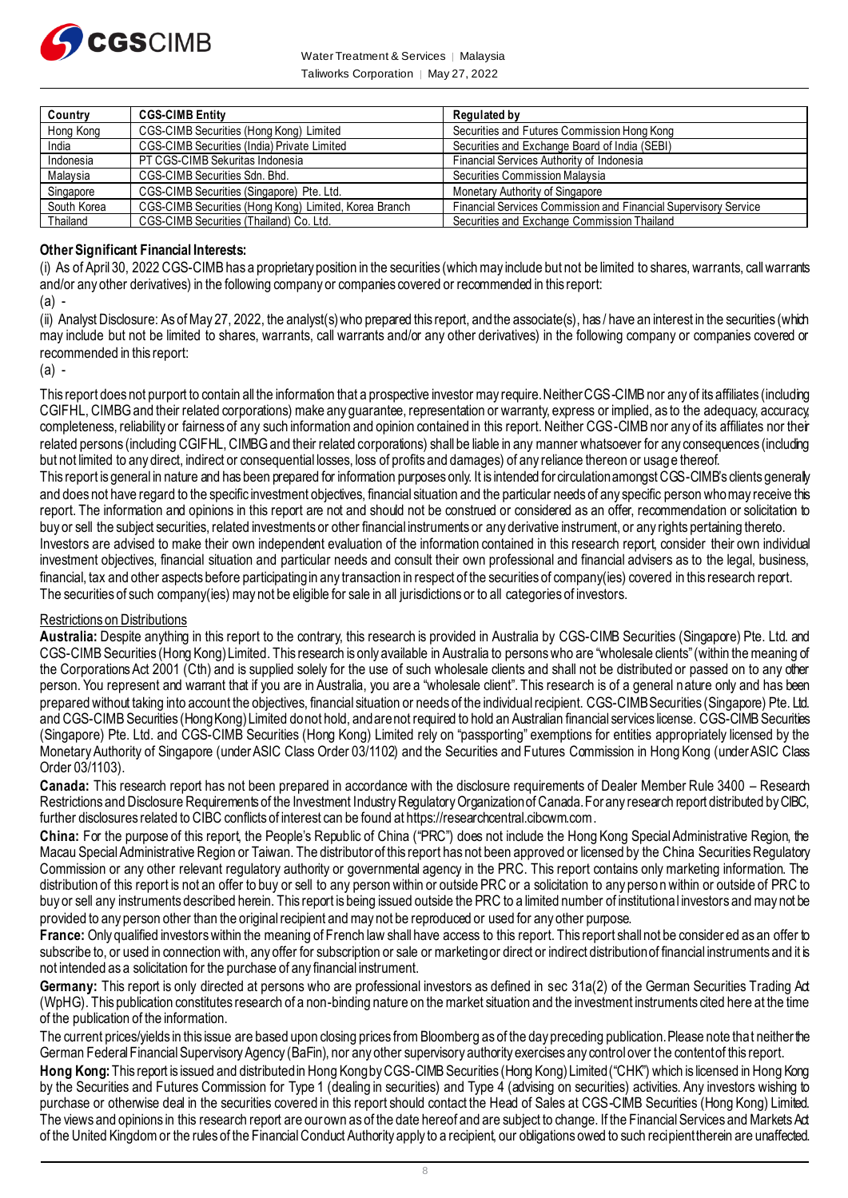

Water Treatment & Services | Malaysia Taliworks Corporation | May 27, 2022

| Country     | <b>CGS-CIMB Entity</b>                                | Regulated by                                                    |
|-------------|-------------------------------------------------------|-----------------------------------------------------------------|
| Hong Kong   | CGS-CIMB Securities (Hong Kong) Limited               | Securities and Futures Commission Hong Kong                     |
| India       | CGS-CIMB Securities (India) Private Limited           | Securities and Exchange Board of India (SEBI)                   |
| Indonesia   | PT CGS-CIMB Sekuritas Indonesia                       | Financial Services Authority of Indonesia                       |
| Malaysia    | CGS-CIMB Securities Sdn. Bhd.                         | Securities Commission Malaysia                                  |
| Singapore   | CGS-CIMB Securities (Singapore) Pte. Ltd.             | Monetary Authority of Singapore                                 |
| South Korea | CGS-CIMB Securities (Hong Kong) Limited, Korea Branch | Financial Services Commission and Financial Supervisory Service |
| Thailand    | CGS-CIMB Securities (Thailand) Co. Ltd.               | Securities and Exchange Commission Thailand                     |

#### **Other Significant Financial Interests:**

(i) As of April 30, 2022 CGS-CIMB has a proprietary position in the securities (which may include but not be limited to shares, warrants, call warrants and/or any other derivatives) in the following company or companies covered or recommended in this report:

 $(a)$ .

(ii) Analyst Disclosure: As of May 27, 2022, the analyst(s) who prepared this report, and the associate(s), has / have an interest in the securities (which may include but not be limited to shares, warrants, call warrants and/or any other derivatives) in the following company or companies covered or recommended in this report:

(a) -

This report does not purport to contain all the information that a prospective investor may require. Neither CGS-CIMB nor any of its affiliates (including CGIFHL, CIMBG and their related corporations) make any guarantee, representation or warranty, express or implied, as to the adequacy, accuracy, completeness, reliability or fairness of any such information and opinion contained in this report. Neither CGS-CIMB nor any of its affiliates nor their related persons (including CGIFHL, CIMBG and their related corporations) shall be liable in any manner whatsoever for any consequences (including but not limited to any direct, indirect or consequential losses, loss of profits and damages) of any reliance thereon or usage thereof. This report is general in nature and has been prepared for information purposes only. It is intended for circulation amongst CGS-CIMB's clients generaly and does not have regard to the specific investment objectives, financial situation and the particular needs of any specific person who may receive this

report. The information and opinions in this report are not and should not be construed or considered as an offer, recommendation or solicitation to buy or sell the subject securities, related investments or other financial instruments or any derivative instrument, or any rights pertaining thereto. Investors are advised to make their own independent evaluation of the information contained in this research report, consider their own individual

investment objectives, financial situation and particular needs and consult their own professional and financial advisers as to the legal, business, financial, tax and other aspects before participating in any transaction in respect of the securities of company(ies) covered in this research report. The securities of such company(ies) may not be eligible for sale in all jurisdictions or to all categories of investors.

### Restrictions on Distributions

**Australia:** Despite anything in this report to the contrary, this research is provided in Australia by CGS-CIMB Securities (Singapore) Pte. Ltd. and CGS-CIMB Securities (Hong Kong) Limited. This research is only available in Australia to persons who are "wholesale clients" (within the meaning of the Corporations Act 2001 (Cth) and is supplied solely for the use of such wholesale clients and shall not be distributed or passed on to any other person. You represent and warrant that if you are in Australia, you are a "wholesale client". This research is of a general nature only and has been prepared without taking into account the objectives, financial situation or needs of the individual recipient. CGS-CIMB Securities (Singapore) Pte. Ltd. and CGS-CIMB Securities (Hong Kong) Limited do not hold, and are not required to hold an Australian financial services license. CGS-CIMB Securities (Singapore) Pte. Ltd. and CGS-CIMB Securities (Hong Kong) Limited rely on "passporting" exemptions for entities appropriately licensed by the Monetary Authority of Singapore (under ASIC Class Order 03/1102) and the Securities and Futures Commission in Hong Kong (under ASIC Class Order 03/1103).

**Canada:** This research report has not been prepared in accordance with the disclosure requirements of Dealer Member Rule 3400 – Research Restrictions and Disclosure Requirements of the Investment Industry Regulatory Organization of Canada. For any research report distributed by CIBC, further disclosures related to CIBC conflicts of interest can be found at https://researchcentral.cibcwm.com .

**China:** For the purpose of this report, the People's Republic of China ("PRC") does not include the Hong Kong Special Administrative Region, the Macau Special Administrative Region or Taiwan. The distributor of this report has not been approved or licensed by the China Securities Regulatory Commission or any other relevant regulatory authority or governmental agency in the PRC. This report contains only marketing information. The distribution of this report is not an offer to buy or sell to any person within or outside PRC or a solicitation to any person within or outside of PRC to buy or sell any instruments described herein. This report is being issued outside the PRC to a limited number of institutional investors and may not be provided to any person other than the original recipient and may not be reproduced or used for any other purpose.

**France:** Only qualified investors within the meaning of French law shall have access to this report. This report shall not be consider ed as an offer to subscribe to, or used in connection with, any offer for subscription or sale or marketing or direct or indirect distribution of financial instruments and it is not intended as a solicitation for the purchase of any financial instrument.

Germany: This report is only directed at persons who are professional investors as defined in sec 31a(2) of the German Securities Trading Ad (WpHG). This publication constitutes research of a non-binding nature on the market situation and the investment instruments cited here at the time of the publication of the information.

The current prices/yields in this issue are based upon closing prices from Bloomberg as of the day preceding publication. Please note that neither the German Federal Financial Supervisory Agency (BaFin), nor any other supervisory authority exercises any control over the content of this report.

**Hong Kong:** This report is issued and distributed in Hong Kong by CGS-CIMB Securities (Hong Kong) Limited ("CHK") which is licensed in Hong Kong by the Securities and Futures Commission for Type 1 (dealing in securities) and Type 4 (advising on securities) activities. Any investors wishing to purchase or otherwise deal in the securities covered in this report should contact the Head of Sales at CGS-CIMB Securities (Hong Kong) Limited. The views and opinions in this research report are our own as of the date hereof and are subject to change. If the Financial Services and Markets Act of the United Kingdom or the rules of the Financial Conduct Authority apply to a recipient, our obligations owed to such recipient therein are unaffected.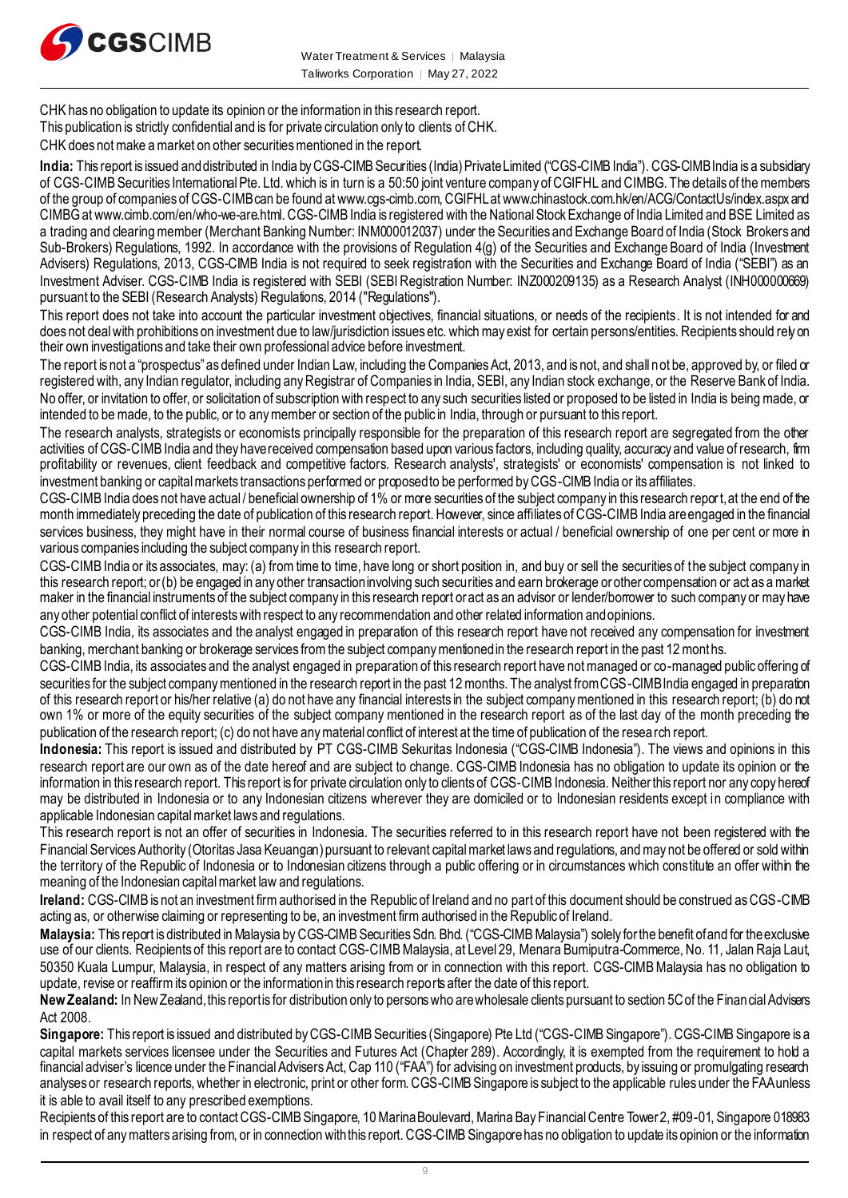

CHK has no obligation to update its opinion or the information in this research report.

This publication is strictly confidential and is for private circulation only to clients of CHK.

CHK does not make a market on other securities mentioned in the report.

India: This report is issued and distributed in India by CGS-CIMB Securities (India) Private Limited ("CGS-CIMB India"). CGS-CIMB India is a subsidiary of CGS-CIMB Securities International Pte. Ltd. which is in turn is a 50:50 joint venture company of CGIFHL and CIMBG. The details of the members of the group of companies of CGS-CIMB can be found at www.cgs-cimb.com, CGIFHL at www.chinastock.com.hk/en/ACG/ContactUs/index.aspx and CIMBG at www.cimb.com/en/who-we-are.html. CGS-CIMB India is registered with the National Stock Exchange of India Limited and BSE Limited as a trading and clearing member (Merchant Banking Number: INM000012037) under the Securities and Exchange Board of India (Stock Brokers and Sub-Brokers) Regulations, 1992. In accordance with the provisions of Regulation 4(g) of the Securities and Exchange Board of India (Investment Advisers) Regulations, 2013, CGS-CIMB India is not required to seek registration with the Securities and Exchange Board of India ("SEBI") as an Investment Adviser. CGS-CIMB India is registered with SEBI (SEBI Registration Number: INZ000209135) as a Research Analyst (INH000000669) pursuant to the SEBI (Research Analysts) Regulations, 2014 ("Regulations").

This report does not take into account the particular investment objectives, financial situations, or needs of the recipients. It is not intended for and does not deal with prohibitions on investment due to law/jurisdiction issues etc. which may exist for certain persons/entities. Recipients should rely on their own investigations and take their own professional advice before investment.

The report is not a "prospectus" as defined under Indian Law, including the Companies Act, 2013, and is not, and shall not be, approved by, or filed or registered with, any Indian regulator, including any Registrar of Companies in India, SEBI, any Indian stock exchange, or the Reserve Bank of India. No offer, or invitation to offer, or solicitation of subscription with respect to any such securities listed or proposed to be listed in India is being made, or intended to be made, to the public, or to any member or section of the public in India, through or pursuant to this report.

The research analysts, strategists or economists principally responsible for the preparation of this research report are segregated from the other activities of CGS-CIMB India and they have received compensation based upon various factors, including quality, accuracy and value of research, firm profitability or revenues, client feedback and competitive factors. Research analysts', strategists' or economists' compensation is not linked to investment banking or capital markets transactions performed or proposed to be performed by CGS-CIMB India or its affiliates.

CGS-CIMB India does not have actual / beneficial ownership of 1% or more securities of the subject company in this research report, at the end of the month immediately preceding the date of publication of this research report. However, since affiliates of CGS-CIMB India are engaged in the financial services business, they might have in their normal course of business financial interests or actual / beneficial ownership of one per cent or more in various companies including the subject company in this research report.

CGS-CIMB India or its associates, may: (a) from time to time, have long or short position in, and buy or sell the securities of the subject company in this research report; or (b) be engaged in any other transaction involving such securities and earn brokerage or other compensation or act as a market maker in the financial instruments of the subject company in this research report or act as an advisor or lender/borrower to such company or may have any other potential conflict of interests with respect to any recommendation and other related information and opinions.

CGS-CIMB India, its associates and the analyst engaged in preparation of this research report have not received any compensation for investment banking, merchant banking or brokerage services from the subject company mentioned in the research report in the past 12 months.

CGS-CIMB India, its associates and the analyst engaged in preparation of this research report have not managed or co-managed public offering of securities for the subject company mentioned in the research report in the past 12 months. The analyst from CGS-CIMB India engaged in preparation of this research report or his/her relative (a) do not have any financial interests in the subject company mentioned in this research report; (b) do not own 1% or more of the equity securities of the subject company mentioned in the research report as of the last day of the month preceding the publication of the research report; (c) do not have any material conflict of interest at the time of publication of the research report.

**Indonesia:** This report is issued and distributed by PT CGS-CIMB Sekuritas Indonesia ("CGS-CIMB Indonesia"). The views and opinions in this research report are our own as of the date hereof and are subject to change. CGS-CIMB Indonesia has no obligation to update its opinion or the information in this research report. This report is for private circulation only to clients of CGS-CIMB Indonesia. Neither this report nor any copy hereof may be distributed in Indonesia or to any Indonesian citizens wherever they are domiciled or to Indonesian residents except in compliance with applicable Indonesian capital market laws and regulations.

This research report is not an offer of securities in Indonesia. The securities referred to in this research report have not been registered with the Financial Services Authority (Otoritas Jasa Keuangan) pursuant to relevant capital market laws and regulations, and may not be offered or sold within the territory of the Republic of Indonesia or to Indonesian citizens through a public offering or in circumstances which constitute an offer within the meaning of the Indonesian capital market law and regulations.

**Ireland:** CGS-CIMB is not an investment firm authorised in the Republic of Ireland and no part of this document should be construed as CGS-CIMB acting as, or otherwise claiming or representing to be, an investment firm authorised in the Republic of Ireland.

**Malaysia:** This report is distributed in Malaysia by CGS-CIMB Securities Sdn. Bhd. ("CGS-CIMB Malaysia") solely for the benefit of and for the exclusive use of our clients. Recipients of this report are to contact CGS-CIMBMalaysia, at Level 29, Menara Bumiputra-Commerce, No. 11, Jalan Raja Laut, 50350 Kuala Lumpur, Malaysia, in respect of any matters arising from or in connection with this report. CGS-CIMB Malaysia has no obligation to update, revise or reaffirm its opinion or the information in this research reports after the date of this report.

New Zealand: In New Zealand, this report is for distribution only to persons who are wholesale clients pursuant to section 5C of the Finan cial Advisers Act 2008.

**Singapore:** This report is issued and distributed by CGS-CIMB Securities (Singapore) Pte Ltd ("CGS-CIMB Singapore"). CGS-CIMB Singapore is a capital markets services licensee under the Securities and Futures Act (Chapter 289). Accordingly, it is exempted from the requirement to hold a financial adviser's licence under the Financial Advisers Act, Cap 110 ("FAA") for advising on investment products, by issuing or promulgating research analyses or research reports, whether in electronic, print or other form. CGS-CIMB Singapore is subject to the applicable rules under the FAA unless it is able to avail itself to any prescribed exemptions.

Recipients of this report are to contact CGS-CIMB Singapore, 10 Marina Boulevard, Marina Bay Financial Centre Tower 2, #09-01, Singapore 018983 in respect of any matters arising from, or in connection with this report. CGS-CIMB Singaporehas no obligation to update its opinion or the information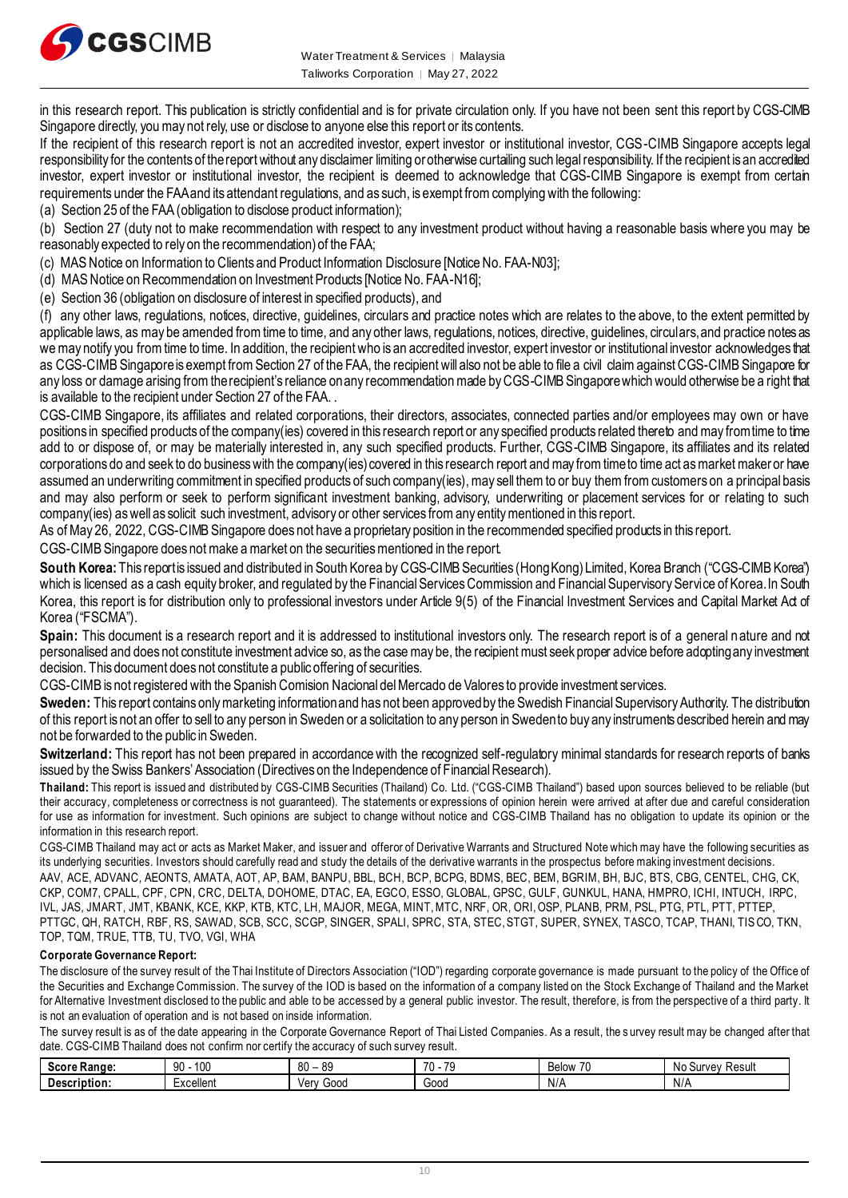

in this research report. This publication is strictly confidential and is for private circulation only. If you have not been sent this report by CGS-CIMB Singapore directly, you may not rely, use or disclose to anyone else this report or its contents.

If the recipient of this research report is not an accredited investor, expert investor or institutional investor, CGS-CIMB Singapore accepts legal responsibility for the contents of the report without any disclaimer limiting or otherwise curtailing such legal responsibility. If the recipient is an accredited investor, expert investor or institutional investor, the recipient is deemed to acknowledge that CGS-CIMB Singapore is exempt from certain requirements under the FAA and its attendant regulations, and as such, is exempt from complying with the following:

(a) Section 25 of the FAA (obligation to disclose product information);

(b) Section 27 (duty not to make recommendation with respect to any investment product without having a reasonable basis where you may be

reasonably expected to rely on the recommendation) of the FAA;

(c) MAS Notice on Information to Clients and Product Information Disclosure [Notice No. FAA-N03];

(d) MAS Notice on Recommendation on Investment Products [Notice No. FAA-N16];

(e) Section 36 (obligation on disclosure of interest in specified products), and

(f) any other laws, regulations, notices, directive, guidelines, circulars and practice notes which are relates to the above, to the extent permitted by applicable laws, as may be amended from time to time, and any other laws, regulations, notices, directive, guidelines, circulars, and practice notes as we may notify you from time to time. In addition, the recipient who is an accredited investor, expert investor or institutional investor acknowledges that as CGS-CIMB Singaporeis exempt from Section 27 of the FAA, the recipient will also not be able to file a civil claim against CGS-CIMB Singapore for any loss or damage arising from the recipient's reliance on any recommendation made by CGS-CIMB Singaporewhich would otherwise be a right that is available to the recipient under Section 27 of the FAA. .

CGS-CIMB Singapore, its affiliates and related corporations, their directors, associates, connected parties and/or employees may own or have positions in specified products of the company(ies) covered in this research report or any specified products related thereto and may from time to time add to or dispose of, or may be materially interested in, any such specified products. Further, CGS-CIMB Singapore, its affiliates and its related corporations do and seek to do business with the company(ies) covered in this research report and may from time to time act as market maker or have assumed an underwriting commitment in specified products of such company(ies), may sell them to or buy them from customers on a principal basis and may also perform or seek to perform significant investment banking, advisory, underwriting or placement services for or relating to such company(ies) as well as solicit such investment, advisory or other services from any entity mentioned in this report.

As of May 26, 2022, CGS-CIMB Singapore does not have a proprietary position in the recommended specified products in this report.

CGS-CIMB Singapore does not make a market on the securities mentioned in the report.

South Korea: This report is issued and distributed in South Korea by CGS-CIMB Securities (Hong Kong) Limited, Korea Branch ("CGS-CIMB Korea") which is licensed as a cash equity broker, and regulated by the Financial Services Commission and Financial Supervisory Service of Korea. In South Korea, this report is for distribution only to professional investors under Article 9(5) of the Financial Investment Services and Capital Market Act of Korea ("FSCMA").

**Spain:** This document is a research report and it is addressed to institutional investors only. The research report is of a general nature and not personalised and does not constitute investment advice so, as the case may be, the recipient must seek proper advice before adopting any investment decision. This document does not constitute a public offering of securities.

CGS-CIMB is not registered with the Spanish Comision Nacional del Mercado de Valores to provide investment services.

**Sweden:** This report contains only marketing information and has not been approved by the Swedish Financial Supervisory Authority. The distribution of this report is not an offer to sell to any person in Sweden or a solicitation to any person in Sweden to buy any instruments described herein and may not be forwarded to the public in Sweden.

Switzerland: This report has not been prepared in accordance with the recognized self-regulatory minimal standards for research reports of banks issued by the Swiss Bankers' Association (Directives on the Independence of Financial Research).

**Thailand:** This report is issued and distributed by CGS-CIMB Securities (Thailand) Co. Ltd. ("CGS-CIMB Thailand") based upon sources believed to be reliable (but their accuracy, completeness or correctness is not guaranteed). The statements or expressions of opinion herein were arrived at after due and careful consideration for use as information for investment. Such opinions are subject to change without notice and CGS-CIMB Thailand has no obligation to update its opinion or the information in this research report.

CGS-CIMB Thailand may act or acts as Market Maker, and issuer and offeror of Derivative Warrants and Structured Note which may have the following securities as its underlying securities. Investors should carefully read and study the details of the derivative warrants in the prospectus before making investment decisions. AAV, ACE, ADVANC, AEONTS, AMATA, AOT, AP, BAM, BANPU, BBL, BCH, BCP, BCPG, BDMS, BEC, BEM, BGRIM, BH, BJC, BTS, CBG, CENTEL, CHG, CK, CKP, COM7, CPALL, CPF, CPN, CRC, DELTA, DOHOME, DTAC, EA, EGCO, ESSO, GLOBAL, GPSC, GULF, GUNKUL, HANA, HMPRO, ICHI, INTUCH, IRPC, IVL, JAS, JMART, JMT, KBANK, KCE, KKP, KTB, KTC, LH, MAJOR, MEGA, MINT, MTC, NRF, OR, ORI, OSP, PLANB, PRM, PSL, PTG, PTL, PTT, PTTEP, PTTGC, QH, RATCH, RBF, RS, SAWAD, SCB, SCC, SCGP, SINGER, SPALI, SPRC, STA, STEC, STGT, SUPER, SYNEX, TASCO, TCAP, THANI, TISCO, TKN, TOP, TQM, TRUE, TTB, TU, TVO, VGI, WHA

#### **Corporate Governance Report:**

The disclosure of the survey result of the Thai Institute of Directors Association ("IOD") regarding corporate governance is made pursuant to the policy of the Office of the Securities and Exchange Commission. The survey of the IOD is based on the information of a company listed on the Stock Exchange of Thailand and the Market for Alternative Investment disclosed to the public and able to be accessed by a general public investor. The result, therefore, is from the perspective of a third party. It is not an evaluation of operation and is not based on inside information.

The survey result is as of the date appearing in the Corporate Governance Report of Thai Listed Companies. As a result, the survey result may be changed after that date. CGS-CIMB Thailand does not confirm nor certify the accuracy of such survey result.

| Score<br>:Range | 100<br>ഹ<br>JU | $\sim$<br><b>QC</b><br>υv<br>vu | $\overline{\phantom{a}}$<br>$\overline{\phantom{a}}$<br>. .<br>ີ | $\overline{\phantom{a}}$<br>اسمامه<br>⊃⊂l∪w<br>ט ו | ≺esult<br>$\cdot$<br>.<br>N٥<br>ЮU<br>vcv |
|-----------------|----------------|---------------------------------|------------------------------------------------------------------|----------------------------------------------------|-------------------------------------------|
| Description:    | Excellent      | 00dض<br>Verv                    | Good                                                             | N/r                                                | .<br>N/r                                  |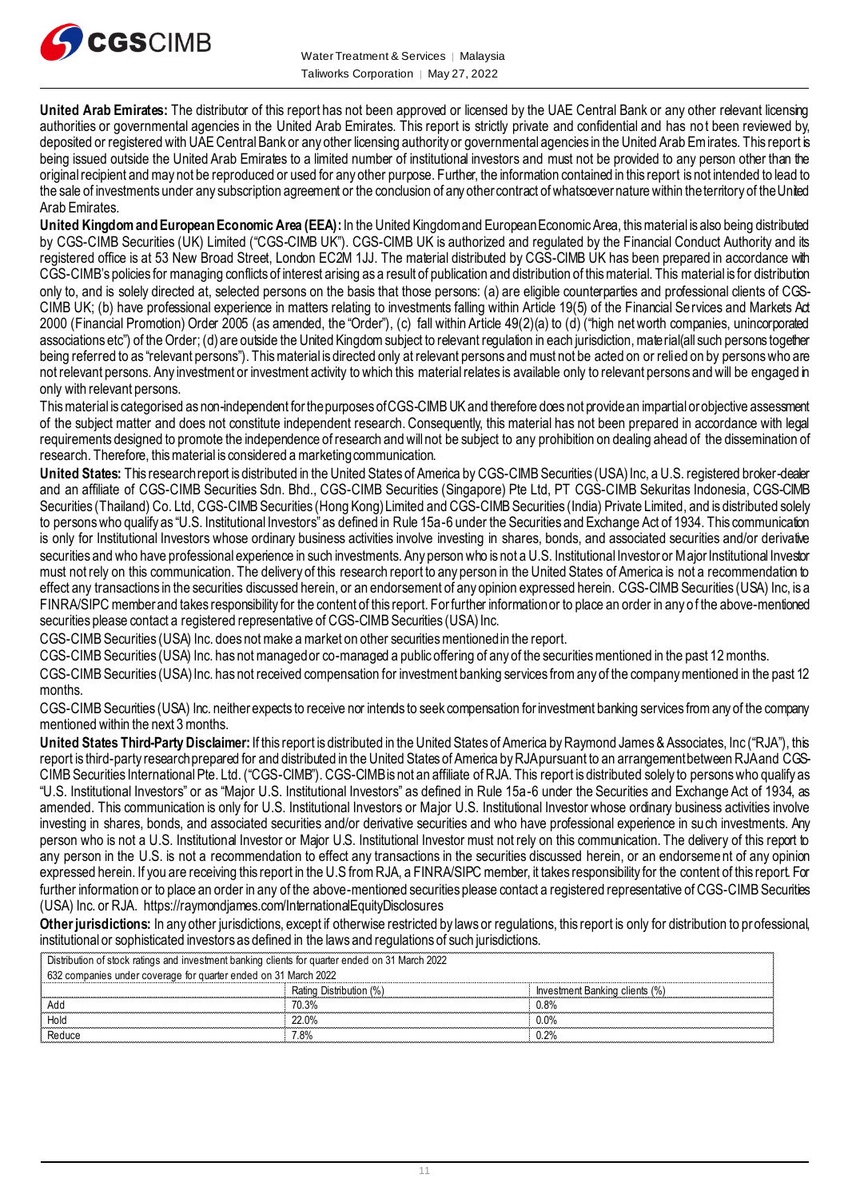

**United Arab Emirates:** The distributor of this report has not been approved or licensed by the UAE Central Bank or any other relevant licensing authorities or governmental agencies in the United Arab Emirates. This report is strictly private and confidential and has not been reviewed by, deposited or registered with UAE Central Bank or any other licensing authority or governmental agencies in the United Arab Emirates. This report is being issued outside the United Arab Emirates to a limited number of institutional investors and must not be provided to any person other than the original recipient and may not be reproduced or used for any other purpose. Further, the information contained in this report is not intended to lead to the sale of investments under any subscription agreement or the conclusion of any other contract of whatsoever nature within the territory of the United Arab Emirates.

**United Kingdom and European Economic Area (EEA):**In the United Kingdom and European Economic Area, this material is also being distributed by CGS-CIMB Securities (UK) Limited ("CGS-CIMB UK"). CGS-CIMB UK is authorized and regulated by the Financial Conduct Authority and its registered office is at 53 New Broad Street, London EC2M 1JJ. The material distributed by CGS-CIMB UK has been prepared in accordance with CGS-CIMB's policies for managing conflicts of interest arising as a result of publication and distribution of this material. This material is for distribution only to, and is solely directed at, selected persons on the basis that those persons: (a) are eligible counterparties and professional clients of CGS-CIMB UK; (b) have professional experience in matters relating to investments falling within Article 19(5) of the Financial Services and Markets Act 2000 (Financial Promotion) Order 2005 (as amended, the "Order"), (c) fall within Article 49(2)(a) to (d) ("high net worth companies, unincorporated associations etc") of the Order; (d) are outside the United Kingdom subject to relevant regulation in each jurisdiction, mate rial(all such persons together being referred to as "relevant persons"). This material is directed only at relevant persons and must not be acted on or relied on by persons who are not relevant persons. Any investment or investment activity to which this material relates is available only to relevant persons and will be engaged in only with relevant persons.

This material is categorised as non-independent for the purposes of CGS-CIMB UK and therefore does not provide an impartial or objective assessment of the subject matter and does not constitute independent research. Consequently, this material has not been prepared in accordance with legal requirements designed to promote the independence of research and will not be subject to any prohibition on dealing ahead of the dissemination of research. Therefore, this material is considered a marketing communication.

**United States:** This research report is distributed in the United States of America by CGS-CIMB Securities (USA) Inc, a U.S. registered broker-dealer and an affiliate of CGS-CIMB Securities Sdn. Bhd., CGS-CIMB Securities (Singapore) Pte Ltd, PT CGS-CIMB Sekuritas Indonesia, CGS-CIMB Securities (Thailand) Co. Ltd, CGS-CIMB Securities (Hong Kong) Limited and CGS-CIMB Securities (India) Private Limited, and is distributed solely to persons who qualify as "U.S. Institutional Investors" as defined in Rule 15a-6 under the Securities and Exchange Act of 1934. This communication is only for Institutional Investors whose ordinary business activities involve investing in shares, bonds, and associated securities and/or derivative securities and who have professional experience in such investments. Any person who is not a U.S. Institutional Investor or Major Institutional Investor must not rely on this communication. The delivery of this research report to any person in the United States of America is not a recommendation to effect any transactions in the securities discussed herein, or an endorsement of any opinion expressed herein. CGS-CIMB Securities (USA) Inc, is a FINRA/SIPC member and takes responsibility for the content of this report. For further information or to place an order in any of the above-mentioned securities please contact a registered representative of CGS-CIMB Securities (USA) Inc.

CGS-CIMB Securities (USA) Inc. does not make a market on other securities mentioned in the report.

CGS-CIMB Securities (USA) Inc. has not managed or co-managed a public offering of any of the securities mentioned in the past 12 months.

CGS-CIMB Securities (USA) Inc. has not received compensation for investment banking services from any of the company mentioned in the past 12 months.

CGS-CIMB Securities (USA) Inc. neither expects to receive nor intends to seek compensation for investment banking services from any of the company mentioned within the next 3 months.

**United States Third-Party Disclaimer:**If this report is distributed in the United States of America by Raymond James & Associates, Inc ("RJA"), this report is third-party research prepared for and distributed in the United States of America by RJA pursuant to an arrangement between RJA and CGS-CIMB Securities International Pte. Ltd. ("CGS-CIMB"). CGS-CIMB is not an affiliate of RJA. This report is distributed solely to persons who qualify as "U.S. Institutional Investors" or as "Major U.S. Institutional Investors" as defined in Rule 15a-6 under the Securities and Exchange Act of 1934, as amended. This communication is only for U.S. Institutional Investors or Major U.S. Institutional Investor whose ordinary business activities involve investing in shares, bonds, and associated securities and/or derivative securities and who have professional experience in such investments. Any person who is not a U.S. Institutional Investor or Major U.S. Institutional Investor must not rely on this communication. The delivery of this report to any person in the U.S. is not a recommendation to effect any transactions in the securities discussed herein, or an endorsement of any opinion expressed herein. If you are receiving this report in the U.S from RJA, a FINRA/SIPC member, it takes responsibility for the content of this report. For further information or to place an order in any of the above-mentioned securities please contact a registered representative of CGS-CIMB Securities (USA) Inc. or RJA.<https://raymondjames.com/InternationalEquityDisclosures>

**Other jurisdictions:** In any other jurisdictions, except if otherwise restricted by laws or regulations, this report is only for distribution to pr ofessional, institutional or sophisticated investors as defined in the laws and regulations of such jurisdictions.

| Distribution of stock ratings and investment banking clients for quarter ended on 31 March 2022 |                         |                                |  |  |  |
|-------------------------------------------------------------------------------------------------|-------------------------|--------------------------------|--|--|--|
| 632 companies under coverage for quarter ended on 31 March 2022                                 |                         |                                |  |  |  |
|                                                                                                 | Rating Distribution (%) | Investment Banking clients (%) |  |  |  |
|                                                                                                 | 70.3%                   | በ ጸ%                           |  |  |  |
|                                                                                                 | <b>22 ዐ%</b>            | $0.0\%$                        |  |  |  |
|                                                                                                 | 7.8%                    | 12%                            |  |  |  |